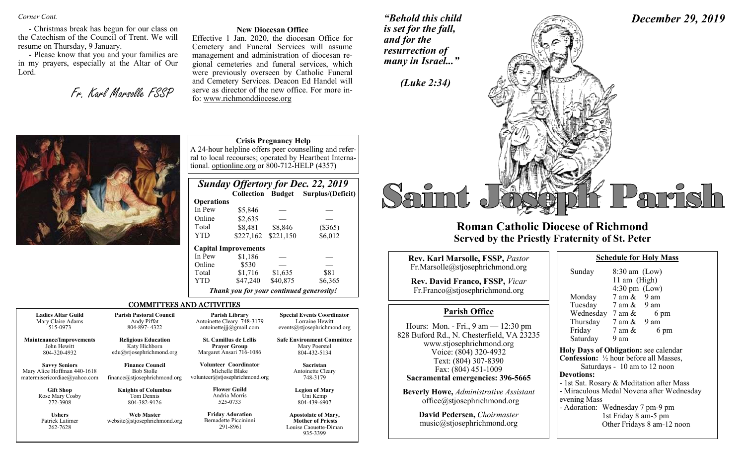*Corner Cont.* 

- Christmas break has begun for our class on the Catechism of the Council of Trent. We will resume on Thursday, 9 January.

- Please know that you and your families are in my prayers, especially at the Altar of Our Lord.

Fr. Karl Marsolle FSSP

#### **New Diocesan Office**

Effective 1 Jan. 2020, the diocesan Office for Cemetery and Funeral Services will assume management and administration of diocesan regional cemeteries and funeral services, which were previously overseen by Catholic Funeral and Cemetery Services. Deacon Ed Handel will serve as director of the new office. For more info: www.richmonddiocese.org

YTD \$227,162 \$221,150 \$6,012

*"Behold this child is set for the fall, and for the resurrection of many in Israel..."*

*(Luke 2:34)* 

*December 29, 2019*

Parrish



## **Roman Catholic Diocese of Richmond Served by the Priestly Fraternity of St. Peter**

| <b>Rev. Karl Marsolle, FSSP, Pastor</b>                                                                      | <b>Schedule for Holy Mass</b>                                                                                                                                                        |
|--------------------------------------------------------------------------------------------------------------|--------------------------------------------------------------------------------------------------------------------------------------------------------------------------------------|
| Fr.Marsolle@stjosephrichmond.org<br><b>Rev. David Franco, FSSP, Vicar</b><br>Fr.Franco@stjosephrichmond.org  | $8:30$ am (Low)<br>Sunday<br>11 am $(High)$<br>$4:30 \text{ pm}$ (Low)<br>7 am &<br>9 am<br>Monday                                                                                   |
| <b>Parish Office</b>                                                                                         | Tuesday 7 am & 9 am                                                                                                                                                                  |
| Hours: Mon. - Fri., 9 am — 12:30 pm<br>828 Buford Rd., N. Chesterfield, VA 23235<br>www.stjosephrichmond.org | Wednesday $7 \text{ am } \&$<br>6 pm<br>Thursday<br>$7$ am $\&$ 9 am<br>Friday<br>7 am &<br>6 pm<br>Saturday<br>9 am                                                                 |
| Voice: (804) 320-4932<br>Text: (804) 307-8390<br>Fax: (804) 451-1009<br>Sacramental emergencies: 396-5665    | Holy Days of Obligation: see calenda<br><b>Confession:</b> 1/2 hour before all Masses<br>Saturdays - 10 am to 12 noon<br><b>Devotions:</b><br>- 1st Sat. Rosary & Meditation after M |
| <b>Beverly Howe, Administrative Assistant</b><br>office@stjosephrichmond.org                                 | - Miraculous Medal Novena after Wed<br>evening Mass                                                                                                                                  |

**David Pedersen,** *Choirmaster* music@stjosephrichmond.org

| Sunday               | $8:30$ am (Low)                                |  |  |  |  |
|----------------------|------------------------------------------------|--|--|--|--|
|                      | 11 am $(High)$                                 |  |  |  |  |
|                      | $4:30 \text{ pm}$ (Low)                        |  |  |  |  |
| Monday               | $7$ am $\&$ 9 am                               |  |  |  |  |
|                      | Tuesday 7 am & 9 am                            |  |  |  |  |
|                      | Wednesday $7 \text{ am } \& 6 \text{ pm}$      |  |  |  |  |
|                      | Thursday $7 \text{ am } \& 9 \text{ am}$       |  |  |  |  |
| Friday               | 6 pm<br>$7 \text{ am } \&$                     |  |  |  |  |
| Saturday             | 9 am                                           |  |  |  |  |
|                      |                                                |  |  |  |  |
|                      | Holy Days of Obligation: see calendar          |  |  |  |  |
|                      | <b>Confession:</b> 1/2 hour before all Masses, |  |  |  |  |
|                      | Saturdays - 10 am to 12 noon                   |  |  |  |  |
| <b>Devotions:</b>    |                                                |  |  |  |  |
|                      | - 1st Sat. Rosary & Meditation after Mass      |  |  |  |  |
|                      | - Miraculous Medal Novena after Wednesday      |  |  |  |  |
| evening Mass         |                                                |  |  |  |  |
|                      | - Adoration: Wednesday 7 pm-9 pm               |  |  |  |  |
| 1st Friday 8 am-5 pm |                                                |  |  |  |  |
|                      |                                                |  |  |  |  |
|                      | Other Fridays 8 am-12 noon                     |  |  |  |  |



|                                              |                                                   | Online<br>Total<br><b>YTD</b>                                | \$530<br>\$1,716<br>\$47,240 | \$1,635<br>\$40,875 | \$81<br>\$6,365                                                                             |  |
|----------------------------------------------|---------------------------------------------------|--------------------------------------------------------------|------------------------------|---------------------|---------------------------------------------------------------------------------------------|--|
|                                              |                                                   | Thank you for your continued generosity!                     |                              |                     |                                                                                             |  |
|                                              | <b>COMMITTEES AND ACTIVITIES</b>                  |                                                              |                              |                     |                                                                                             |  |
| <b>Ladies Altar Guild</b>                    | <b>Parish Pastoral Council</b>                    | <b>Parish Library</b>                                        |                              |                     | <b>Special Events Coordinator</b>                                                           |  |
| Mary Claire Adams                            | Andy Piffat                                       | Antoinette Cleary 748-3179                                   |                              |                     | Lorraine Hewitt                                                                             |  |
| 515-0973                                     | 804-897-4322                                      | antoinettejjj@gmail.com                                      |                              |                     | events@stjosephrichmond.org                                                                 |  |
| <b>Maintenance/Improvements</b>              | <b>Religious Education</b>                        | <b>St. Camillus de Lellis</b>                                |                              |                     | <b>Safe Environment Committee</b>                                                           |  |
| John Hewitt                                  | Katy Hichborn                                     | <b>Prayer Group</b>                                          |                              |                     | Mary Poerstel                                                                               |  |
| 804-320-4932                                 | $edu(a)$ stjosephrichmond.org                     | Margaret Ansari 716-1086                                     |                              |                     | 804-432-5134                                                                                |  |
| <b>Savvy Seniors</b>                         | <b>Finance Council</b>                            | Volunteer Coordinator                                        |                              |                     | Sacristan                                                                                   |  |
| Mary Alice Hoffman 440-1618                  | <b>Bob Stolle</b>                                 | Michelle Blake                                               |                              |                     | Antoinette Cleary                                                                           |  |
| matermisericordiae@yahoo.com                 | finance@stjosephrichmond.org                      | volunteer@stjosephrichmond.org                               |                              |                     | 748-3179                                                                                    |  |
| <b>Gift Shop</b>                             | <b>Knights of Columbus</b>                        | <b>Flower Guild</b>                                          |                              |                     | <b>Legion of Mary</b>                                                                       |  |
| Rose Mary Cosby                              | Tom Dennis                                        | Andria Morris                                                |                              |                     | Uni Kemp                                                                                    |  |
| 272-3908                                     | 804-382-9126                                      | 525-0733                                                     |                              |                     | 804-439-6907                                                                                |  |
| <b>Ushers</b><br>Patrick Latimer<br>262-7628 | <b>Web Master</b><br>website@stjosephrichmond.org | <b>Friday Adoration</b><br>Bernadette Piccininni<br>291-8961 |                              |                     | <b>Apostolate of Mary,</b><br><b>Mother of Priests</b><br>Louise Caouette-Diman<br>935-3399 |  |

 **Operations**

 **Capital Improvements**  In Pew \$1,186